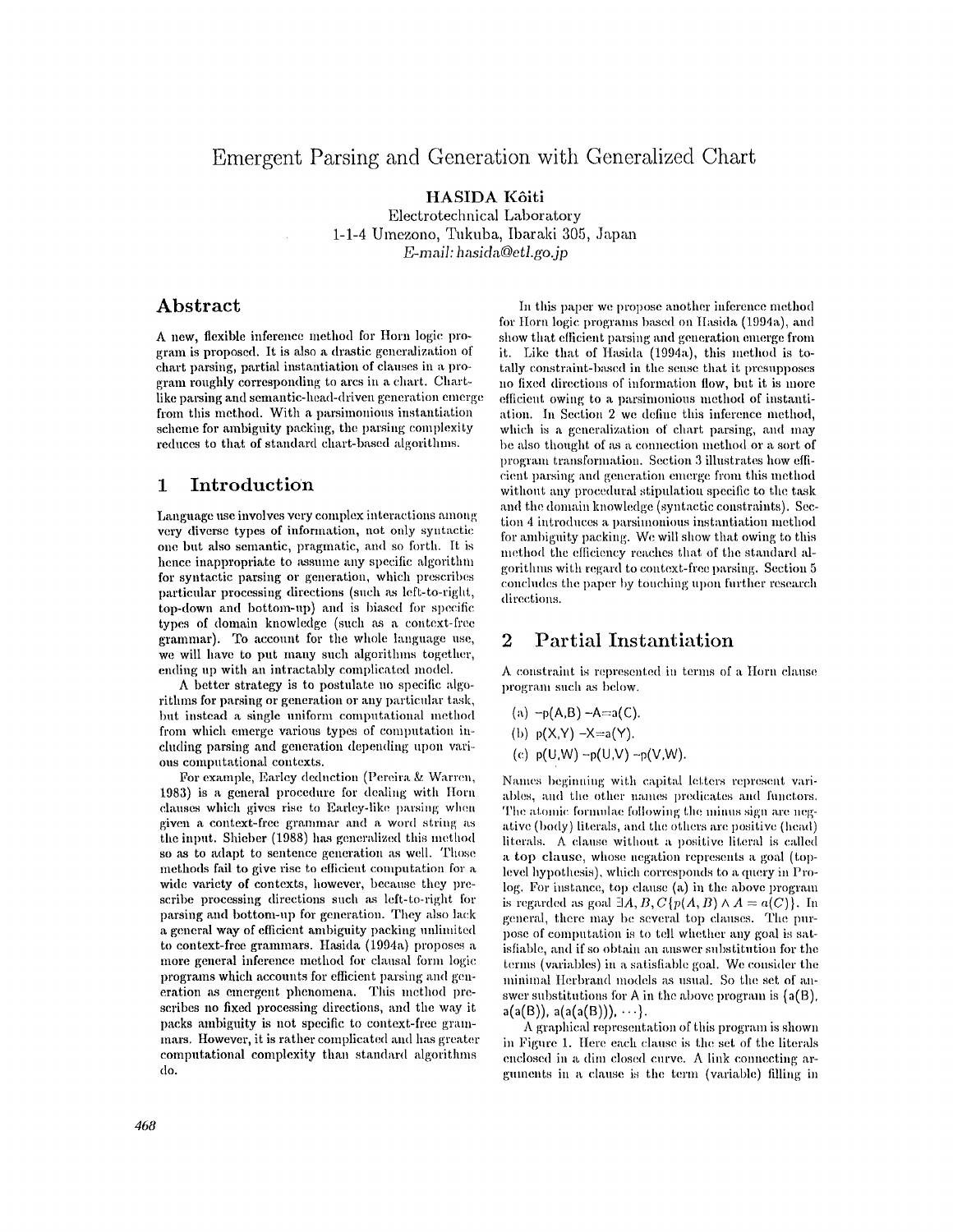# Emergent Parsing and Generation with Generalized Chart

HASIDA Kôiti Electrotechnical Laboratory 1-1-4 Umezono, Tukuba, Ibaraki 305, Japan  $E$ -mail: hasida@etl.go.jp

### Abstract

A new, flexible inference method for Horn logic program is proposed. It is also a drastic generalization of chart parsing, partial instantiation of clauses in a program roughly corresponding to arcs in a chart. Chartlike parsing and semantic-head-driven generation emerge from this method. With a parsimonious instantiation scheme for ambiguity packing, the parsing complexity reduces to that of standard chart-based algorithms.

#### $\mathbf{1}$ Introduction

Language use involves very complex interactions among very diverse types of information, not only syntactic one but also semantic, pragmatic, and so forth. It is hence inappropriate to assume any specific algorithm for syntactic parsing or generation, which prescribes particular processing directions (such as left-to-right, top-down and bottom-up) and is biased for specific types of domain knowledge (such as a context-free grammar). To account for the whole language use, we will have to put many such algorithms together, ending up with an intractably complicated model.

A better strategy is to postulate no specific algorithms for parsing or generation or any particular task, but instead a single uniform computational method from which emerge various types of computation including parsing and generation depending upon various computational contexts.

For example, Earley deduction (Pereira & Warren, 1983) is a general procedure for dealing with Horn clauses which gives rise to Earley-like parsing when given a context-free grammar and a word string as the input. Shieber (1988) has generalized this method so as to adapt to sentence generation as well. Those methods fail to give rise to efficient computation for a wide variety of contexts, however, because they prescribe processing directions such as left-to-right for parsing and bottom-up for generation. They also lack a general way of efficient ambiguity packing unlimited to context-free grammars. Hasida (1994a) proposes a more general inference method for clausal form logic programs which accounts for efficient parsing and generation as emergent phenomena. This method prescribes no fixed processing directions, and the way it packs ambiguity is not specific to context-free grammars. However, it is rather complicated and has greater computational complexity than standard algorithms do.

In this paper we propose another inference method for Horn logic programs based on Hasida (1994a), and show that efficient parsing and generation emerge from it. Like that of Hasida (1994a), this method is totally constraint-based in the sense that it presupposes no fixed directions of information flow, but it is more efficient owing to a parsimonious method of instantiation. In Section 2 we define this inference method. which is a generalization of chart parsing, and may be also thought of as a connection method or a sort of program transformation. Section 3 illustrates how efficient parsing and generation emerge from this method without any procedural stipulation specific to the task and the domain knowledge (syntactic constraints). Section 4 introduces a parsimonious instantiation method for ambiguity packing. We will show that owing to this method the efficiency reaches that of the standard algorithms with regard to context-free parsing. Section 5 concludes the paper by touching upon further research directions.

#### $\overline{2}$ **Partial Instantiation**

A constraint is represented in terms of a Horn clause program such as below.

$$
(a) -p(A,B) -A = a(C)
$$

(b) 
$$
p(X,Y) - X = a(Y)
$$

(c) 
$$
p(U,W) - p(U,V) - p(V,W)
$$
.

Names beginning with capital letters represent variables, and the other names predicates and functors. The atomic formulae following the minus sign are negative (body) literals, and the others are positive (head) literals. A clause without a positive literal is called a top clause, whose negation represents a goal (toplevel hypothesis), which corresponds to a query in Prolog. For instance, top clause (a) in the above program is regarded as goal  $\exists A, B, C \{p(A, B) \land A = a(C)\}\.$  In general, there may be several top clauses. The purpose of computation is to tell whether any goal is satisfiable, and if so obtain an answer substitution for the terms (variables) in a satisfiable goal. We consider the minimal Herbrand models as usual. So the set of answer substitutions for A in the above program is  $(a(B))$ .  $a(a(B))$ ,  $a(a(a(B)))$ , ...}.

A graphical representation of this program is shown in Figure 1. Here each clause is the set of the literals enclosed in a dim closed curve. A link connecting arguinents in a clause is the term (variable) filling in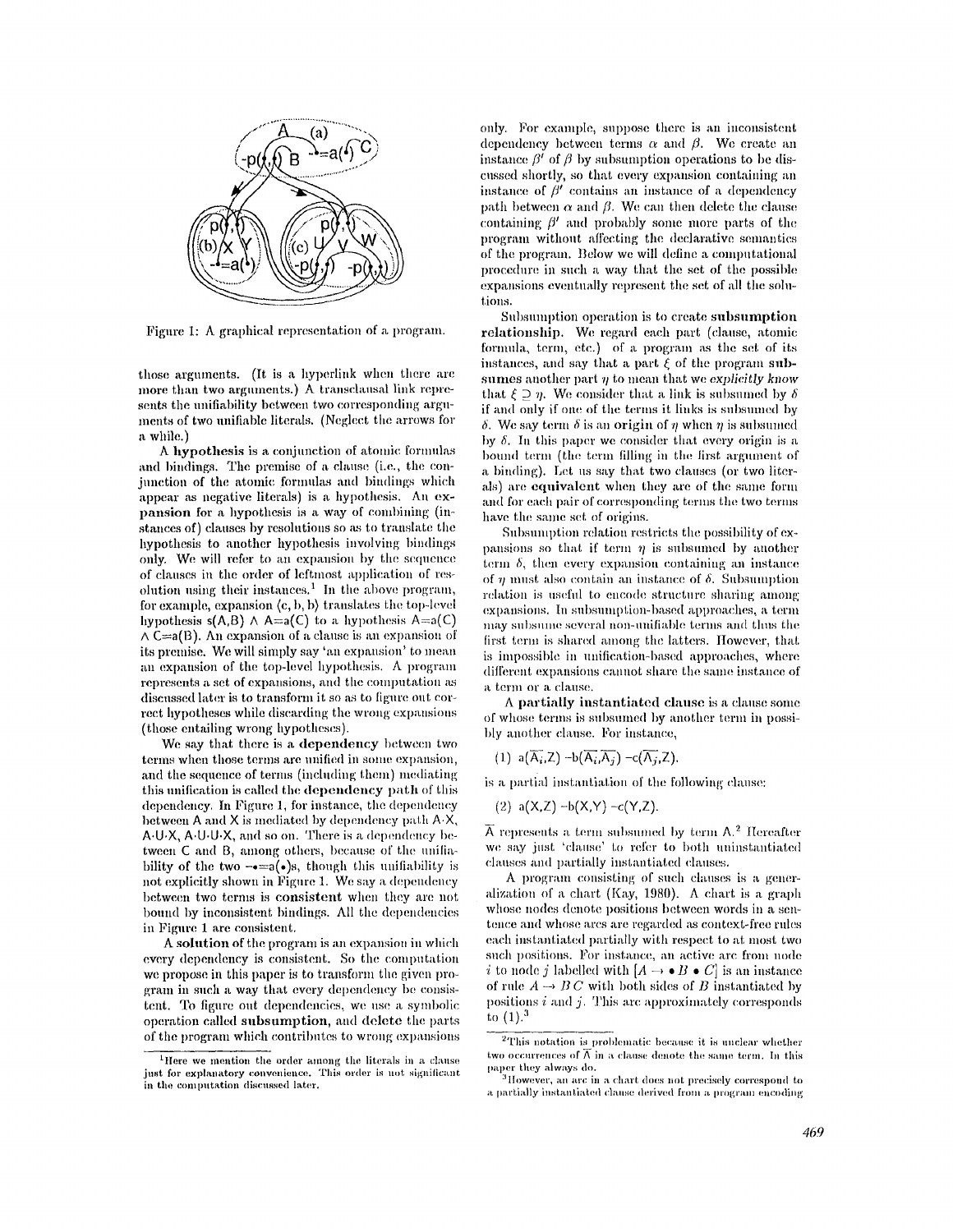

Figure 1: A graphical representation of a program.

those arguments. (It is a hyperlink when there arc more than two arguments.) A transclausal link represents the unifiability between two corresponding arguments of two unifiable literals. (Neglect the arrows for **a** while.)

A hypothesis is a conjunction of atomic formulas and bindings. The premise of a clause (i.e., the conjunction of the atomic formulas and bindings which appear as negative literals) is a hypothesis. An expansion for a hypothesis is a way of combining (instances of) clauses by resolutions so as to translate the hypothesis to another hypothesis involving bindings only. We will refer to an expansion by the sequence of clauses in the order of leftmost application of resolution using their instances.<sup>1</sup> In the above program, for example, expansion  $\langle c, b, b \rangle$  translates the top-level hypothesis  $s(A,B) \wedge A=a(C)$  to a hypothesis  $A=a(C)$  $\wedge$  C=a(B). An expansion of a clause is an expansion of its premise. We will simply say 'an expansion' to mean an expansion of the top-level hypothesis. A program represents a set of expansions, and the computation as discussed later is to transform it so as to figure out correct hypotheses while discarding the wrong expansions (those entailing wrong hypotheses).

We say that there is a dependency between two terms when those terms are unified in some expansion, and the sequence of terms (including them) mediating this unification is called the dependency path of this dependency. In Figure 1, for instance, the dependency between  $A$  and  $X$  is mediated by dependency path  $A \cdot X$ , A.U.X, A.U.U.X, and so on. There is a dependency between C and B, among others, because of the unifiability of the two  $-\bullet = a(\bullet)s$ , though this unifiability is not explicitly shown in Figure 1. We say a dependency between two terms is consistent when they are not bound by inconsistent bindings. All the dependencies in Figure **1** are consistent.

A solution of the program is an expansion in which every dependency is consistent. So the computation we propose in this paper is to transform the given program in such a way that every dependency be consistent. To figure out dependencies, we use a symbolic operation called subsumption, and delete the parts of the program which contributes to wrong expansions

only. For example, suppose there is an inconsistent dependency between terms  $\alpha$  and  $\beta$ . We create an instance  $\beta'$  of  $\beta$  by subsumption operations to be discussed shortly, so that every expansion containing an instance of  $\beta'$  contains an instance of a dependency path between  $\alpha$  and  $\beta$ . We can then delete the clause containing  $\beta'$  and probably some more parts of the progranl without affecting the declarative semantics of the program. Below wc will dciine a computational procedure in such a way that the set of the possible expansions eventually represent the set of all the solutions.

Subsmuption operation is to create subsumption relationship. We regard each part (clause, atomic formula, term, etc.) of a program as the set of its instances, and say that a part  $\xi$  of the program subsumes another part  $\eta$  to mean that we *explicitly know* that  $\xi \supseteq \eta$ . We consider that a link is subsumed by  $\delta$ if and only if one of the terms it links is subsumed by  $\delta$ . We say term  $\delta$  is an origin of  $\eta$  when  $\eta$  is subsumed by  $\delta$ . In this paper we consider that every origin is a bound term (the term filling in the first argument of a binding). Let us say that two clauses (or two literals) are equivalent when they are of the same form and for each pair of corresponding terms the two terms have the same set of origins.

Subsumption relation restricts the possibility of expansions so that if term  $\eta$  is subsumed by another term  $\delta$ , then every expansion containing an instance. of  $\eta$  must also contain an instance of  $\delta$ . Subsumption relation is useful to encode structure sharing among expansions. In subsumption-based approaches, a term may subsume several non-unifiable terms and thus the first term is shared among the latters. However, that is impossible in unification-based approaches, where different expansions cannot share the same instance of a term or a clause.

A partially instantiated clause is a clause some of whose terms is subsumed by another term in possibly another clause. For instance,

(1) 
$$
a(\overline{A_i}, Z) - b(\overline{A_i}, \overline{A_j}) - c(\overline{A_j}, Z).
$$

is a partial instantiation of the following clause:

(2) 
$$
a(X,Z) - b(X,Y) - c(Y,Z)
$$
.

 $\overline{A}$  represents a term subsumed by term A.<sup>2</sup> Hereafter we say just 'clause' to refer to both uninstantiated clauses and partially instantiated clauses.

A program consisting of such clauses is a generalizatiou of a chart (Kay, 1980). A chart is a graph whose nodes denote positions between words in a sentenee and whose ares are regarded as context-free rules each instantiated partially with respect to at most two such positions. For instance, an active are from node i to node j labelled with  $[A \rightarrow \bullet B \bullet C]$  is an instance of rule  $A \rightarrow BC$  with both sides of B instantiated by positions  $i$  and  $j$ . This arc approximately corresponds to  $(1).<sup>3</sup>$ 

<sup>&</sup>lt;sup>1</sup>Here we mention the order among the literals in a clause just for explanatory convenience. This order is not significant in the computation discussed later.

 $2$ This notation is problematic because it is unclear whether two occurrences of  $\overline{A}$  in a clause denote the same term. In this paper they always do.

 $^3$ However, an arc in a chart does not precisely correspond to a partially instantiated clause derived from a program encoding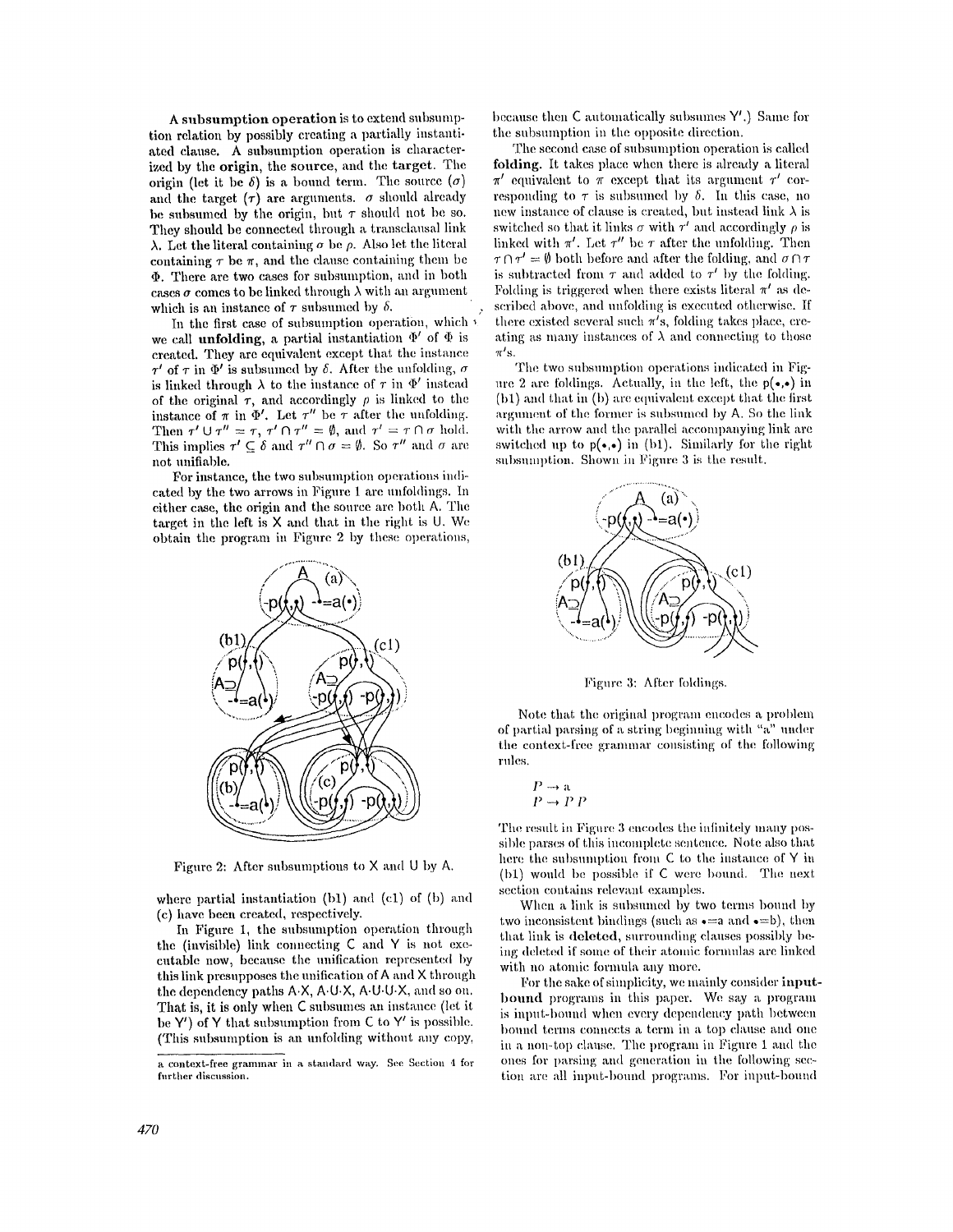**A subsumption operation is to extend subsumplion relation by possibly creating a partially instanti**ated clause. A subsumption operation is characterized by the origin, the source, and the target. The origin (let it be  $\delta$ ) is a bound term. The source  $(\sigma)$ and the target  $(\tau)$  are arguments,  $\sigma$  should already be subsumed by the origin, but  $\tau$  should not be so. They should be connected through a transclausal link  $\lambda$ . Let the literal containing  $\sigma$  be  $\rho$ . Also let the literal containing  $\tau$  be  $\pi$ , and the clause containing them be  $\Phi$ . There are two cases for subsumption, and in both cases  $\sigma$  comes to be linked through  $\lambda$  with an argument which is an instance of  $\tau$  subsumed by  $\delta$ .

In the first case of subsumption operation, which  $\ell$ we call unfolding, a partial instantiation  $\Phi'$  of  $\Phi$  is created. They are cquiwdent except that the instance  $\tau'$  of  $\tau$  in  $\Phi'$  is subsumed by  $\delta$ . After the unfolding,  $\sigma$ is linked through  $\lambda$  to the instance of  $\tau$  in  $\Phi'$  instead of the original  $\tau$ , and accordingly  $\rho$  is linked to the instance of  $\pi$  in  $\Phi'$ . Let  $\tau''$  be  $\tau$  after the unfolding. Then  $\tau' \cup \tau'' = \tau$ ,  $\tau' \cap \tau'' = \emptyset$ , and  $\tau' = \tau \cap \sigma$  hold. This implies  $\tau' \subseteq \delta$  and  $\tau'' \cap \sigma = \emptyset$ . So  $\tau''$  and  $\sigma$  are not unifial)le.

For instance, the two suhsumption operations indicated by the two arrows in Figure 1 are unfoldings. In either case, the origin and the source are both A. The target in the left is X and that in the right is U. We obtain the program in Figure 2 by these operations,



Figure 2: After subsumptions to  $X$  and  $U$  by A.

where partial instantiation  $(b1)$  and  $(c1)$  of  $(b)$  and (c) have been created, respectively.

In Figure 1, the subsumption operation through the (invisible) link connecting C and Y is not executable now, because the unification represented by this link presupposes the unification of A and X through the dependency paths A.X, A.U.X, A.U.U.X, and so on. That is, it is only when C subsumes an instance (let it be  $Y'$ ) of Y that subsumption from C to Y' is possible. (This subsumption is an unfolding without any copy,

because then  $C$  automatically subsumes  $Y'$ .) Same for the subsumption in the opposite direction.

The second case of subsumption operation is called folding. It takes place when there is already a literal  $\pi'$  equivalent to  $\pi$  except that its argument  $\tau'$  corresponding to  $\tau$  is subsumed by  $\delta$ . In this case, no new instance of clause is created, but instead link  $\lambda$  is switched so that it links  $\sigma$  with  $\tau'$  and accordingly  $\rho$  is linked with  $\pi'$ . Let  $\tau''$  be  $\tau$  after the unfolding. Then  $\tau \cap \tau' = \emptyset$  both before and after the folding, and  $\sigma \cap \tau$ is subtracted from  $\tau$  and added to  $\tau'$  by the folding. Folding is triggered when there exists literal  $\pi'$  as described above, and unfolding is executed otherwise. If there existed several such  $\pi'$ s, folding takes place, creating as many instances of  $\lambda$  and connecting to those  $\pi'$ s.

The two subsumption operations indicated in Figare 2 are foldings. Actually, in the left, the  $p(\bullet,\bullet)$  in  $(b1)$  and that in  $(b)$  are equivalent except that the first argument of the former is subsumed by A. So the link with the arrow and the parallel accompanying link are switched up to  $p(\bullet,\bullet)$  in (b1). Similarly for the right subsumption. Shown in Figure 3 is the result.



Figure 3: After foldings.

Note that the original program encodes a problem of partial parsing of a string beginning with "a" under the context-free granunar consisting of the following rules.

$$
\begin{array}{c} P \to a \\ P \to P \ P \end{array}
$$

?

The result in Figure 3 encodes the infinitely many possible parses of this incomplete sentence. Note also that here the subsumption from  $C$  to the instance of Y in  $(b1)$  would be possible if C were bound. The next section contains relevant examples.

When a link is subsumed by two terms bound by two inconsistent bindings (such as  $\bullet = a$  and  $\bullet = b$ ), then that link is deleted, surrounding clauses possibly being deleted if some of their atomic formulas are linked with no atomic formula any more.

For the sake of simplicity, we mainly consider inputbound programs in this paper. We say a program is input-bound when every dependency path between bound terms connects a term in a top clause and one in a non-top clause. The program in Figure 1 and the  $\,$ ones for parsing and generation in the following section are all input-bound programs. For input-bound

a context-free grammar in a standard way. See Section 4 for further discussion.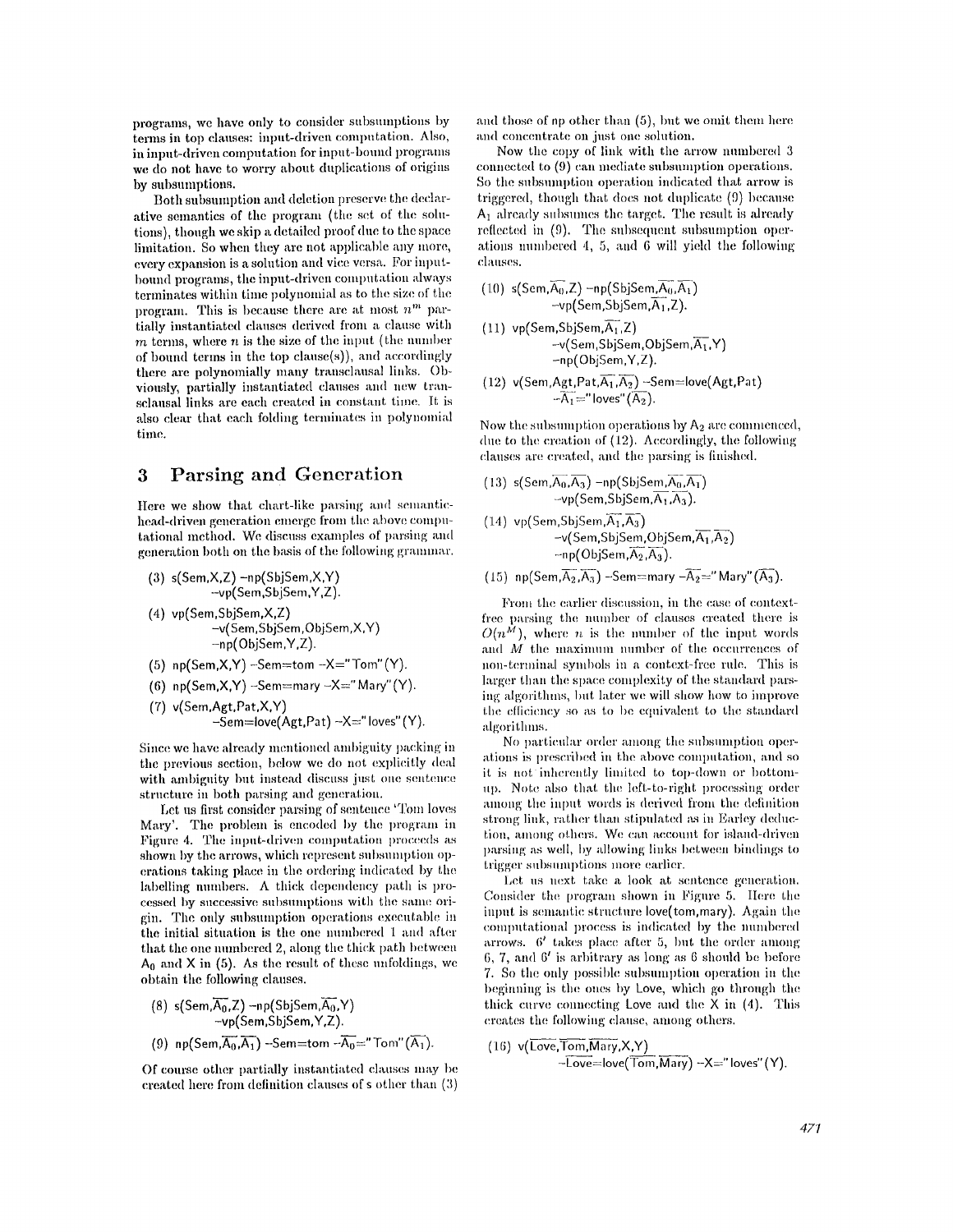programs, we have only to consider subsumptions by terms in top clauses: input-driven computation. Also, in input-driven computation for input-bound programs we do not have to worry about duplications of origins by subsumptions.

Both subsumption and deletion preserve the declarative semantics of the program (the set of the solutions), though we skip a detailed proof due to the space limitation. So when they are not applicable any more, every expansion is a solution and vice versa. For inputbound programs, the input-driven computation always terminates within time polynomial as to the size of the program. This is because there are at most  $n^m$  partially instantiated clauses derived from a clause with  $m$  terms, where  $n$  is the size of the input (the number of bound terms in the top clause(s)), and accordingly there are polynomially many transclausal links. Obviously, partially instantiated clauses and new transclausal links are each created in constant time. It is also clear that each folding terminates in polynomial time.

### **3 Parsing and Generation**

Here we show that chart-like parsing and semantichead-driven generation emerge from the above computational method. We discuss examples of parsing and generation both on the basis of the following grammar.

\n- (3) 
$$
s(Sem, X, Z) - np(SbjSem, X, Y)
$$
  $-vp(Sem, SbjSem, Y, Z)$ .
\n- (4)  $vp(Sem, SbjSem, X, Z) -v(Sem, SbjSem, ObjSem, X, Y) -np(ObjSem, Y, Z)$ .
\n

- **(5) n p(Sem,X,Y) -Sem--tom -X=" Tom" (Y).**
- **(6)**  $np(Sem, X, Y)$  --Sem=mary --X=" Mary" (Y).
- **(7) v(Sem,Agt.Pat,X,Y) -Sem=love(Agt,Pat) -X=" loves" (Y).**

Since we have already mentioned ambiguity packing in the previous section, below we do not explicitly deal with ambiguity but instead discuss just one sentence structure in both parsing and generation.

Let us first consider parsing of sentence 'Tom loves Mary'. The problem is encoded by the program in Figure 4. The input-driven computation proceeds as shown by the arrows, which represent subsumption operations taking place in the ordering indicated by the labelling numbers. A thick dependency path is processed by successive subsumptions with the same origin. The only subsumption operations executable in the initial situation is the one numbered 1 and after that the one numbered 2, along the thick path between  $A_0$  and X in (5). As the result of these unfoldings, we **obtain** the following clauses.

(8) s(Sem, 
$$
\overline{A_0}
$$
, Z) -np(SbjSem,  $\overline{A_0}$ , Y)  
-vp(Sem, SbjSem, Y, Z).  
(9) np(Sem,  $\overline{A_0}$ ,  $\overline{A_1}$ ) -Sem = tom - $\overline{A_0}$  = "Tom" ( $\overline{A_1}$ ).

Of course other partially instantiated clauses may be created here from definition clauses of s other than  $(3)$ 

and those of np other than  $(5)$ , but we omit them here and concentrate on just one solution.

Now the copy of link with the arrow numbered 3 connected to (9) can mediate subsumption operations. So the subsumption operation indicated that arrow is triggered, though that does not duplicate (9) because  $A_1$  already subsumes the target. The result is already reflected in  $(9)$ . The subsequent subsumption operations numbered 4, 5, and 6 will yield the following clanses.

(10) s(Sem, 
$$
\overline{A_0}
$$
, Z) -np(SbjSem,  $\overline{A_0}$ ,  $\overline{A_1}$ )  
-vp(Sem, SbjSem,  $\overline{A_1}$ , Z).

$$
\begin{array}{ll}\n(11) \text{ vp}(\textsf{Sem}, \textsf{SbjSem}, \overline{A_1}, \textsf{Z}) \\
-\text{v}(\textsf{Sem}, \textsf{SbjSem}, \textsf{ObjSem}, \overline{A_1}, \textsf{Y}) \\
-\text{np}(\textsf{ObjSem}, \textsf{Y}, \textsf{Z}).\n\end{array}
$$

(12) v(Sem,Agt,Pat,\overline{A\_1},\overline{A\_2}) - Sem = love(Agt,Pat)  
-
$$
\overline{A_1}
$$
='' loves''( $\overline{A_2}$ ).

Now the subsumption operations by  $A_2$  are commenced, due to the creation of  $(12)$ . Accordingly, the following clauses are created, and the parsing is finished.

(13) s(Sem, 
$$
\overline{A_0}, \overline{A_3}
$$
) -np(SbjSem,  $\overline{A_0}, \overline{A_1}$ )  
-vp(Sem, SbjSem,  $\overline{A_1}, \overline{A_3}$ ).

$$
\begin{array}{lll}\n(14) \text{ vp}(\textsf{Sem},\textsf{SbjSem},\overline{\textsf{A}_1},\overline{\textsf{A}_3}) \\
-\text{v}(\textsf{Sem},\textsf{SbjSem},\textsf{ObjSem},\overline{\textsf{A}_1},\overline{\textsf{A}_2}) \\
&\neg \text{np}(\textsf{ObjSem},\overline{\textsf{A}_2},\overline{\textsf{A}_3}).\n\end{array}
$$

(15) 
$$
np(Sem, \overline{A_2}, \overline{A_3})
$$
 -Sem=mary  $-\overline{A_2}$  = "Mary" ( $\overline{A_3}$ ).

From the earlier discussion, in the case of contextfree parsing the number of clauses created there is  $O(n^M)$ , where *n* is the number of the input words and  $M$  the maximum number of the occurrences of non-terminal symbols in a context-free rule. This is larger than the space complexity of the standard parsing algorithms, but later we will show how to improve the efficiency so as to be equivalent to the standard algorithms.

No particular order among the subsumption operations is prescribed in the above computation, and so it is not inherently limited to top-down or bottomup. Note also that the left-to-right processing order among the input words is derived from the definition strong link, rather than stipulated as in Earley deduction, among others. We can account for island-driven parsing as well, by allowing links between bindings to trigger subsumptions more earlier.

Let us next take a look at sentence generation. Consider the program shown in Figure 5. Here the input is semantic structure love(tom, mary). Again the computational process is indicated by the numbered arrows.  $6'$  takes place after 5, but the order among 6, 7, and  $6'$  is arbitrary as long as 6 should be before 7. So the only possible subsumption operation in the beginning is the ones by Love, which go through the thick curve connecting Love and the  $X$  in (4). This creates the following clause, among others.

(16) 
$$
\mathsf{v}(\mathsf{Love}, \mathsf{Tom}, \mathsf{Mary}, X, Y)
$$
  
- $\overline{\mathsf{Love}} = \mathsf{love}(\overline{\mathsf{Tom}}, \overline{\mathsf{Mary}}) - X = \mathsf{loves}(\mathsf{Y}).$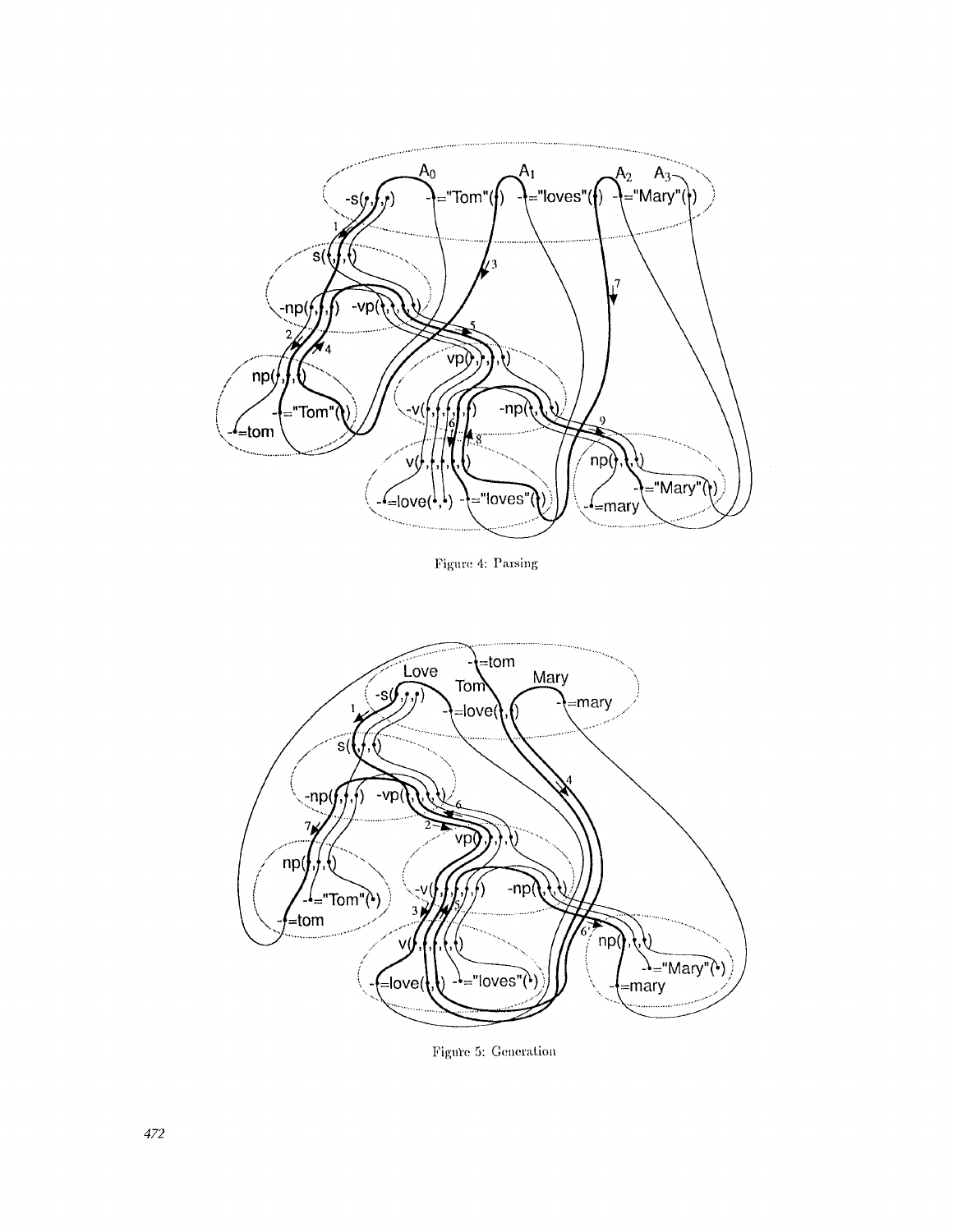

Figure 4: Parsing



Figure 5: Generation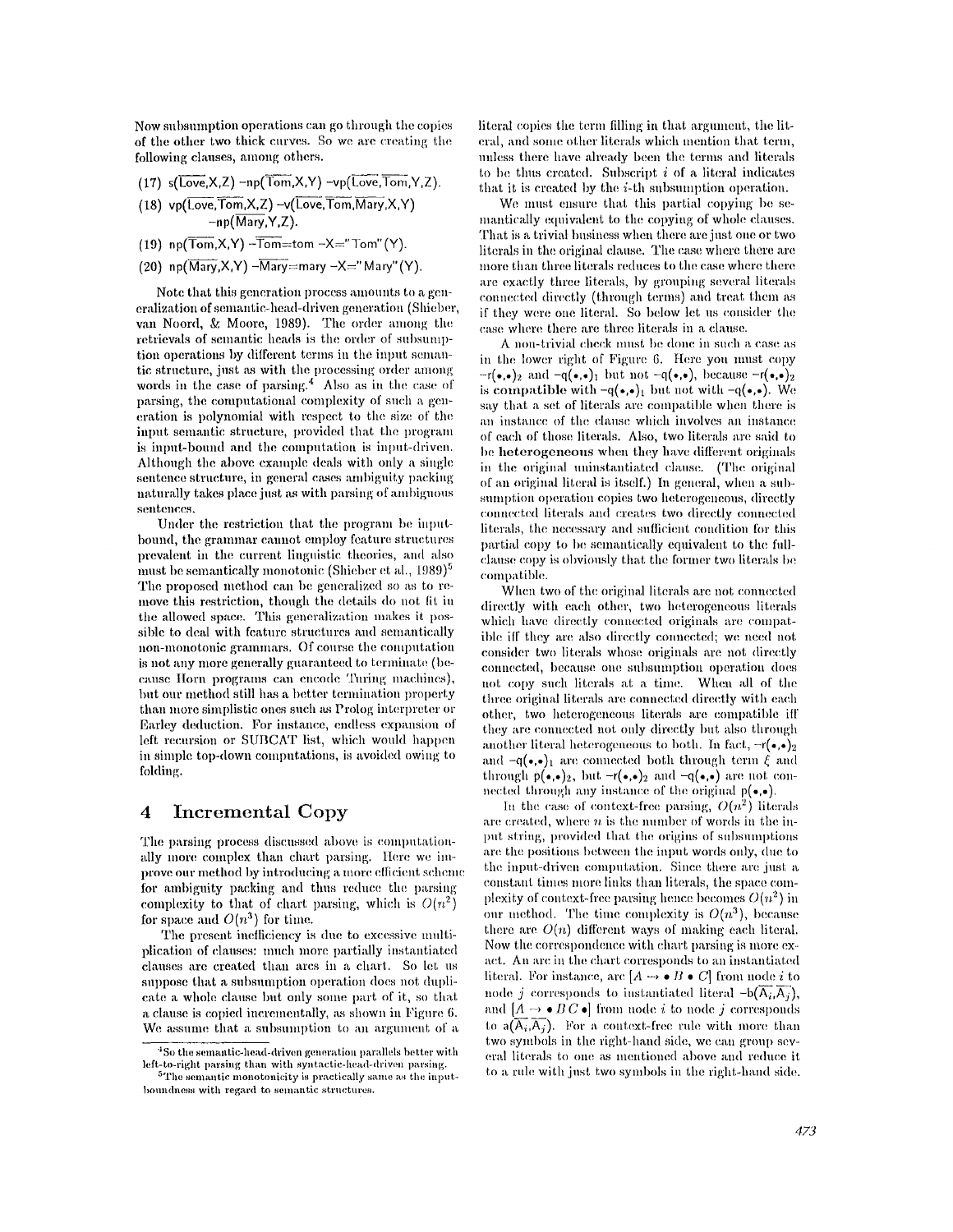Now subsumption operations can go through the copies of the other two thick curves. So we arc creating the. following clauses, among others.

- (17)  $s(\overline{Love}, X, Z) np(\overline{Tom}, X, Y) -vp(\overline{Love}, \overline{Tom}, Y, Z)$ .
- $(18)$  vp(Love, Tom, X, Z)  $-v(\overline{Love},\overline{Tom},\overline{Mary},X,Y)$  $-np(\overline{Mary}, Y, Z)$ .
- **(19) np(** $\overline{\text{Tom}}$ **,X,Y) -Tom=tom -X="Tom" (Y).**
- $(20)$  **np(Mary, X, Y)**  $-\overline{\text{Mary}}$ =mary  $-X=$ " Mary"(Y).

Note that this generation process amounts to a generalization of semantic-head-driven generation (Shieber, van Noord, & Moore, 1989). The order among the retrievals of semantic heads is the order of subsumption operations by different terms in the input semantic structure, just as with the processing order among words in the case of parsing. $4$  Also as in the case of parsing, the computational complexity of such a generation is polynomial with respect to the size of the input semantic structure, provided that the program is input-bound and the computation is input-driven. Although the above example deals with only a single sentence structure, in general cases ambiguity packing naturally takes place just as with parsing of ambiguous sentences.

Under the restriction that the program be inputbound, the grammar cannot employ feature structures prevalent in the current linguistic theories, and also must be semantically monotonic (Shieber et al.,  $1989)^5$ The proposed method can be generalized so as to remove this restriction, though the details do not fit in the allowed space. This generalization makes it possible to deal with feature structures and semantically non-monotonic grammars. Of course the computation is not any more generally guaranteed to terminate (because Horn programs can encode Turing machines), but our method still has a better termination property than more simplistic ones such as Prolog interpreter or Earley deduction. For instance, endless expansion of left recursion or SUBCAT list, which would happen in simple top-down computations, is avoided owing to folding.

### **4 Incremental Copy**

The parsing process discussed above is computationally more complex than chart parsing. Here we improve our method by introducing a more efficient scheme for ambiguity packing and thus reduce the parsing complexity to that of chart parsing, which is  $O(n^2)$ for space and  $O(n^3)$  for time.

The present inefficiency is due to excessive multiplication of clauses: much more partially instantiated clauses are created than arcs in a chart. So let us suppose that a subsumption operation does not duplicate a whole clause but only some part of it, so that a clause is copied incrementally, as shown in Figure 6. We assume that a subsumption to an argument of a literal copies the term filling in that argument, the literal, and some other literals which mention that term. unless there have ah'eady been the terms and literals to be thus created. Subscript  $i$  of a literal indicates that it is created by the i-th subsumption operation.

Wc must ensure that this partial copying be semantically equivalent to the copying of whole clauses. That is a trivial business when there are just one or two litcrals in the original clause. The case where there arc more than three literals reduces to the case where there are exactly three literals, by grouping several literals connected directly (through terms) and treat them as if they were one literal. So below let us consider the case where there are three literals in a clause.

A non-trivial check must be done in such a case as in the lower right of Figure 6. Here you must copy  $-r(\bullet,\bullet)_2$  and  $-q(\bullet,\bullet)_1$  but not  $-q(\bullet,\bullet)$ , because  $-r(\bullet,\bullet)_2$ is compatible with  $-q(\bullet,\bullet)_1$  but not with  $-q(\bullet,\bullet)$ . We say that a set of literals are compatible when there is an instance of the clause which involves an instance of each of those literals. Also, two literals arc said to be heterogeneous when they have different originals in the original uninstantiated clause. (The original of an original literal is itself.) In general, when a subsumption operation copies two heterogeneous, directly connected literals and creates two directly connected literals, the necessary and sufficient condition for this partial copy to be semantically equivalent to the fullclause copy is obviously that the former two literals be compatible.

When two of the original literals are not connected directly with each other, two heterogeneous literals which have directly connected originals are compatible iff they are also directly connected; we need not eonsider two literals whose originals are not directly connected, because one subsumption operation does not copy such literals at a time. When all of the three original literals are connected directly with each other, two heterogeneous literals are compatible iff they are connected not only directly but also through another literal heterogeneous to both. In fact,  $-r(\bullet,\bullet)_2$ and  $-q(*,*)_1$  are connected both through term  $\hat{\xi}$  and through  $p(\bullet,\bullet)_2$ , but  $-r(\bullet,\bullet)_2$  and  $-q(\bullet,\bullet)$  are not conmected through any instance of the original  $p(\bullet,\bullet)$ .

In the case of context-free parsing,  $O(n^2)$  literals. are created, where  $n$  is the number of words in the input string, provided that the origins of subsumptions are the positions between the input words only, due to the input-driven computation. Since there are just a constant times more links than literals, the space complexity of context-free parsing hence becomes  $O(n^2)$  in our method. The time complexity is  $O(n^3)$ , because there are  $O(n)$  different ways of making each literal. Now the correspondence with chart parsing is more exact. An arc in the chart corresponds to an instantiated literal. For instance, arc  $[A \rightarrow \bullet B \bullet C]$  from node *i* to node j corresponds to instantiated literal  $-b(\overline{A_i},\overline{A_j})$ , and  $[A \rightarrow \bullet B\, C\, \bullet]$  from node  $i$  to node  $j$  corresponds to  $a(\overline{A_i},\overline{A_j})$ . For a context-free rule with more than two symbols in the right-hand side, we can group several literals to one as mentioned above and reduce it to a rule with just two symbols in the right-hand side.

 $4$ So the semantic-head-driven generation parallels better with left-to-right parsing than with syntactic-head-driven parsing.

The semantic monotonicity is practically same as the inputboundness with regard to semantic structures.